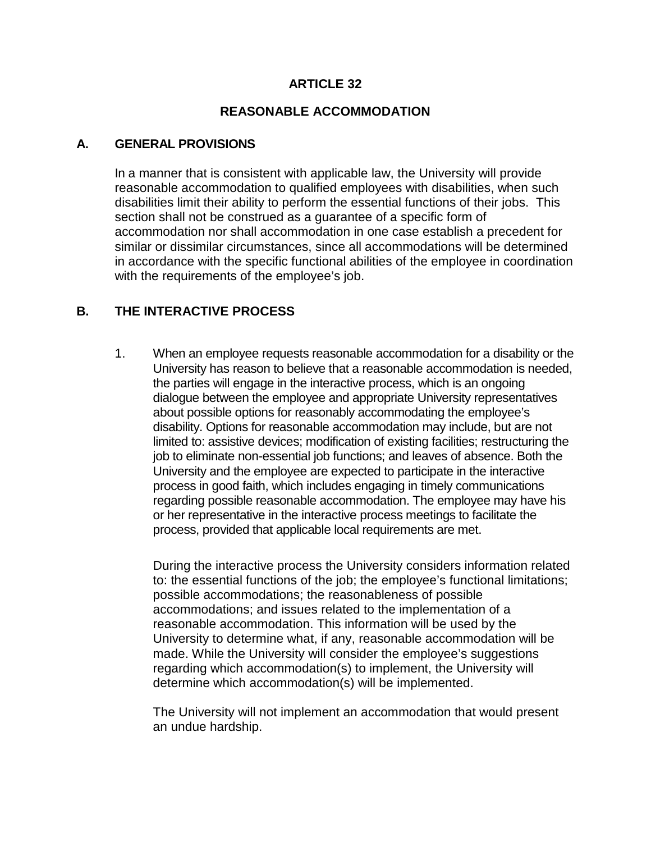### **ARTICLE 32**

#### **REASONABLE ACCOMMODATION**

#### **A. GENERAL PROVISIONS**

In a manner that is consistent with applicable law, the University will provide reasonable accommodation to qualified employees with disabilities, when such disabilities limit their ability to perform the essential functions of their jobs. This section shall not be construed as a guarantee of a specific form of accommodation nor shall accommodation in one case establish a precedent for similar or dissimilar circumstances, since all accommodations will be determined in accordance with the specific functional abilities of the employee in coordination with the requirements of the employee's job.

# **B. THE INTERACTIVE PROCESS**

1. When an employee requests reasonable accommodation for a disability or the University has reason to believe that a reasonable accommodation is needed, the parties will engage in the interactive process, which is an ongoing dialogue between the employee and appropriate University representatives about possible options for reasonably accommodating the employee's disability. Options for reasonable accommodation may include, but are not limited to: assistive devices; modification of existing facilities; restructuring the job to eliminate non-essential job functions; and leaves of absence. Both the University and the employee are expected to participate in the interactive process in good faith, which includes engaging in timely communications regarding possible reasonable accommodation. The employee may have his or her representative in the interactive process meetings to facilitate the process, provided that applicable local requirements are met.

During the interactive process the University considers information related to: the essential functions of the job; the employee's functional limitations; possible accommodations; the reasonableness of possible accommodations; and issues related to the implementation of a reasonable accommodation. This information will be used by the University to determine what, if any, reasonable accommodation will be made. While the University will consider the employee's suggestions regarding which accommodation(s) to implement, the University will determine which accommodation(s) will be implemented.

The University will not implement an accommodation that would present an undue hardship.